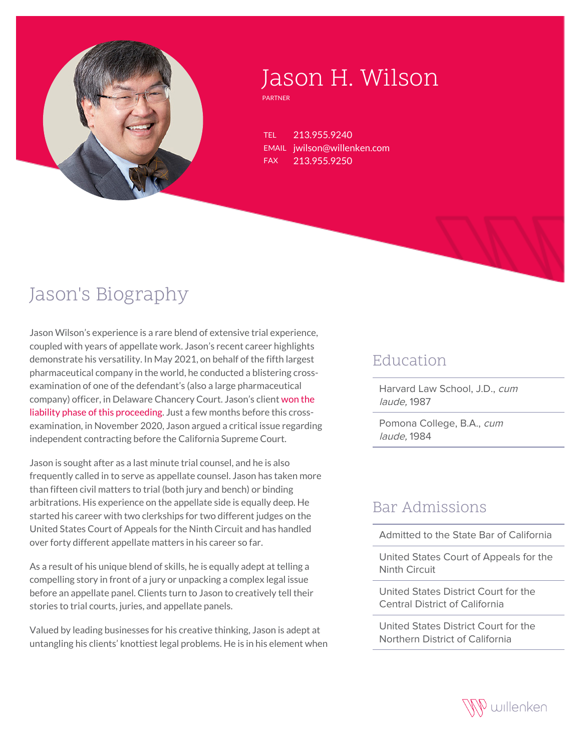

# Jason H. Wilson

PARTNER

TEL 213.955.9240 EMAIL jwilson@willenken.com FAX 213.955.9250

## Jason's Biography

Jason Wilson's experience is a rare blend of extensive trial experience, coupled with years of appellate work. Jason's recent career highlights demonstrate his versatility. In May 2021, on behalf of the fifth largest pharmaceutical company in the world, he conducted a blistering crossexamination of one of the defendant's (also a large pharmaceutical company) officer, in Delaware Chancery Court. Jason's client [won the](https://willenken.com/winning-matters/willenken-wins-critical-liability-phase-of-high-profile-lupron-supply-shortage-trial-in-delaware-chancery-court/) [liability phase of this proceeding](https://willenken.com/winning-matters/willenken-wins-critical-liability-phase-of-high-profile-lupron-supply-shortage-trial-in-delaware-chancery-court/). Just a few months before this crossexamination, in November 2020, Jason argued a critical issue regarding independent contracting before the California Supreme Court.

Jason is sought after as a last minute trial counsel, and he is also frequently called in to serve as appellate counsel. Jason has taken more than fifteen civil matters to trial (both jury and bench) or binding arbitrations. His experience on the appellate side is equally deep. He started his career with two clerkships for two different judges on the United States Court of Appeals for the Ninth Circuit and has handled over forty different appellate matters in his career so far.

As a result of his unique blend of skills, he is equally adept at telling a compelling story in front of a jury or unpacking a complex legal issue before an appellate panel. Clients turn to Jason to creatively tell their stories to trial courts, juries, and appellate panels.

Valued by leading businesses for his creative thinking, Jason is adept at untangling his clients' knottiest legal problems. He is in his element when

#### Education

Harvard Law School, J.D., cum laude, 1987

Pomona College, B.A., cum laude, 1984

#### Bar Admissions

Admitted to the State Bar of California

United States Court of Appeals for the Ninth Circuit

United States District Court for the Central District of California

United States District Court for the Northern District of California

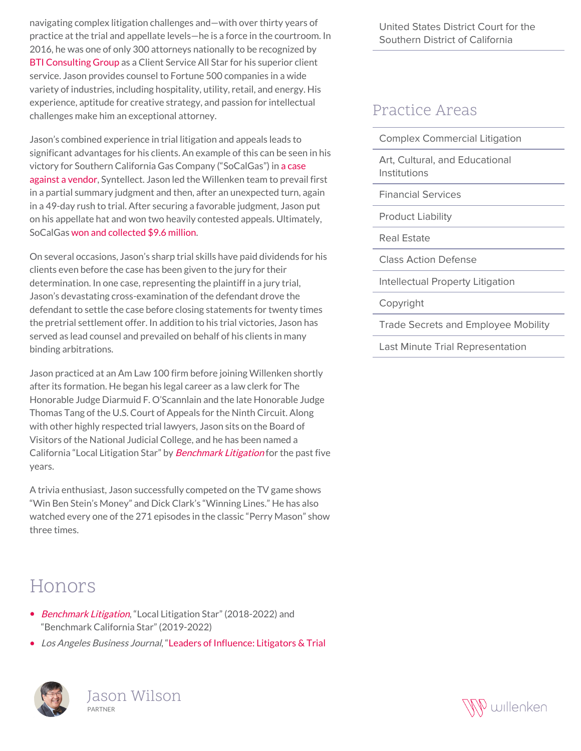navigating complex litigation challenges and—with over thirty years of practice at the trial and appellate levels—he is a force in the courtroom. In 2016, he was one of only 300 attorneys nationally to be recognized by [BTI Consulting Group](https://willenken.com/wp-content/uploads/2019/12/BTI_Client_Service_All_Stars_Jason-Wilson-Partner-and-Attorney-at-Willenken-2016.pdf) as a Client Service All Star for his superior client service. Jason provides counsel to Fortune 500 companies in a wide variety of industries, including hospitality, utility, retail, and energy. His experience, aptitude for creative strategy, and passion for intellectual challenges make him an exceptional attorney.

Jason's combined experience in trial litigation and appeals leads to significant advantages for his clients. An example of this can be seen in his victory for Southern California Gas Company ("SoCalGas") in [a case](https://willenken.com/cases/southern-california-gas-company-v-syntellect-inc/) [against a vendor,](https://willenken.com/cases/southern-california-gas-company-v-syntellect-inc/) Syntellect. Jason led the Willenken team to prevail first in a partial summary judgment and then, after an unexpected turn, again in a 49-day rush to trial. After securing a favorable judgment, Jason put on his appellate hat and won two heavily contested appeals. Ultimately, SoCalGas [won and collected \\$9.6 million.](https://willenken.com/winning-matters/willenken-firm-obtains-high-seven-figure-stipulated-judgment-in-patent-indemnity-action/)

On several occasions, Jason's sharp trial skills have paid dividends for his clients even before the case has been given to the jury for their determination. In one case, representing the plaintiff in a jury trial, Jason's devastating cross-examination of the defendant drove the defendant to settle the case before closing statements for twenty times the pretrial settlement offer. In addition to his trial victories, Jason has served as lead counsel and prevailed on behalf of his clients in many binding arbitrations.

Jason practiced at an Am Law 100 firm before joining Willenken shortly after its formation. He began his legal career as a law clerk for The Honorable Judge Diarmuid F. O'Scannlain and the late Honorable Judge Thomas Tang of the U.S. Court of Appeals for the Ninth Circuit. Along with other highly respected trial lawyers, Jason sits on the Board of Visitors of the National Judicial College, and he has been named a California "Local Litigation Star" by [Benchmark Litigation](https://www.benchmarklitigation.com/firms/willenken/fimlknxf#/lawyers) for the past five years.

A trivia enthusiast, Jason successfully competed on the TV game shows "Win Ben Stein's Money" and Dick Clark's "Winning Lines." He has also watched every one of the 271 episodes in the classic "Perry Mason" show three times.

### Honors

- [Benchmark Litigation](https://www.benchmarklitigation.com/firms/willenken/fimlknxf#/lawyers), "Local Litigation Star" (2018-2022) and "Benchmark California Star" (2019-2022)
- Los Angeles Business Journal, "[Leaders of Influence: Litigators & Trial](https://willenken.com/paul-loh-and-jason-wilson-recognized-as-2021-leaders-of-influence-litigators-trial-lawyers-by-los-angeles-business-journal/)



Jason Wilson PARTNER

United States District Court for the Southern District of California

#### Practice Areas

Art, Cultural, and Educational Institutions

Financial Services

Product Liability

Real Estate

Class Action Defense

Intellectual Property Litigation

Copyright

Trade Secrets and Employee Mobility

Last Minute Trial Representation

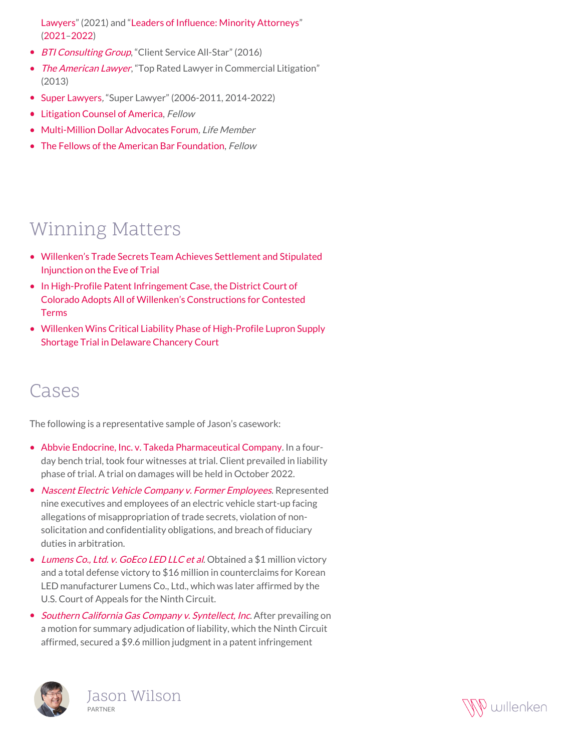[Lawyers"](https://willenken.com/paul-loh-and-jason-wilson-recognized-as-2021-leaders-of-influence-litigators-trial-lawyers-by-los-angeles-business-journal/) (2021) and ["Leaders of Influence: Minority Attorneys](https://willenken.com/partners-paul-loh-and-jason-wilson-recognized-as-2022-minority-leaders-of-influence-by-los-angeles-business-journal/)" [\(2021](https://www.cbjonline.com/a2labj/supplements/MinoritySUPP_20200125.pdf)–[2022](https://www.cbjonline.com/a2labj/supplements/LOI-MinorityAttys_20220124.pdf))

- [BTI Consulting Group](http://willenken.com/wp-content/uploads/2019/12/BTI_Client_Service_All_Stars_Jason-Wilson-Partner-and-Attorney-at-Willenken-2016.pdf), "Client Service All-Star" (2016)
- [The American Lawyer](http://willenken.com/wp-content/uploads/2019/12/American-Lawyer-Top-Rated-Lawyer-in-Commercial-Litigation_Jason-Wilson-Attorney-at-Willenken_2013.pdf), "Top Rated Lawyer in Commercial Litigation" (2013)
- [Super Lawyers](https://profiles.superlawyers.com/california/los-angeles/lawyer/jason-h-wilson/81b5ef69-bf05-449f-9c26-9a6f26559df6.html), "Super Lawyer" (2006-2011, 2014-2022)
- [Litigation Counsel of America,](https://www.litcounsel.org/) Fellow
- [Multi-Million Dollar Advocates Forum](https://www.milliondollaradvocates.com/MEMBER-LIST-REFERRAL-DIRECTORY), Life Member
- [The Fellows of the American Bar Foundation,](http://www.americanbarfoundation.org/fellows/index.html) Fellow

### Winning Matters

- [Willenken's Trade Secrets Team Achieves Settlement and Stipulated](https://willenken.com/winning-matters/willenkens-trade-secrets-team-achieves-settlement-and-stipulated-injunction-on-the-eve-of-trial/) [Injunction on the Eve of Trial](https://willenken.com/winning-matters/willenkens-trade-secrets-team-achieves-settlement-and-stipulated-injunction-on-the-eve-of-trial/)
- [In High-Profile Patent Infringement Case, the District Court of](https://willenken.com/winning-matters/in-high-profile-patent-infringement-case-the-district-court-of-colorado-adopts-all-of-willenkens-constructions-for-contested-terms/) [Colorado Adopts All of Willenken's Constructions for Contested](https://willenken.com/winning-matters/in-high-profile-patent-infringement-case-the-district-court-of-colorado-adopts-all-of-willenkens-constructions-for-contested-terms/) [Terms](https://willenken.com/winning-matters/in-high-profile-patent-infringement-case-the-district-court-of-colorado-adopts-all-of-willenkens-constructions-for-contested-terms/)
- [Willenken Wins Critical Liability Phase of High-Profile Lupron Supply](https://willenken.com/winning-matters/willenken-wins-critical-liability-phase-of-high-profile-lupron-supply-shortage-trial-in-delaware-chancery-court/) [Shortage Trial in Delaware Chancery Court](https://willenken.com/winning-matters/willenken-wins-critical-liability-phase-of-high-profile-lupron-supply-shortage-trial-in-delaware-chancery-court/)

#### Cases

The following is a representative sample of Jason's casework:

- [Abbvie Endocrine, Inc. v. Takeda Pharmaceutical Company](https://willenken.com/winning-matters/willenken-wins-critical-liability-phase-of-high-profile-lupron-supply-shortage-trial-in-delaware-chancery-court/). In a fourday bench trial, took four witnesses at trial. Client prevailed in liability phase of trial. A trial on damages will be held in October 2022.
- [Nascent Electric Vehicle Company v. Former Employees](http://willenken.com/cases/autonomous-electric-vehicle-competitor-v-former-employees/). Represented nine executives and employees of an electric vehicle start-up facing allegations of misappropriation of trade secrets, violation of nonsolicitation and confidentiality obligations, and breach of fiduciary duties in arbitration.
- [Lumens Co., Ltd. v. GoEco LED LLC et al](http://willenken.com/cases/lumens-co-ltd-v-goeco-led-llc-et-al/). Obtained a \$1 million victory and a total defense victory to \$16 million in counterclaims for Korean LED manufacturer Lumens Co., Ltd., which was later affirmed by the U.S. Court of Appeals for the Ninth Circuit.
- [Southern California Gas Company v. Syntellect, Inc](http://willenken.com/cases/southern-california-gas-company-v-syntellect-inc/). After prevailing on a motion for summary adjudication of liability, which the Ninth Circuit affirmed, secured a \$9.6 million judgment in a patent infringement



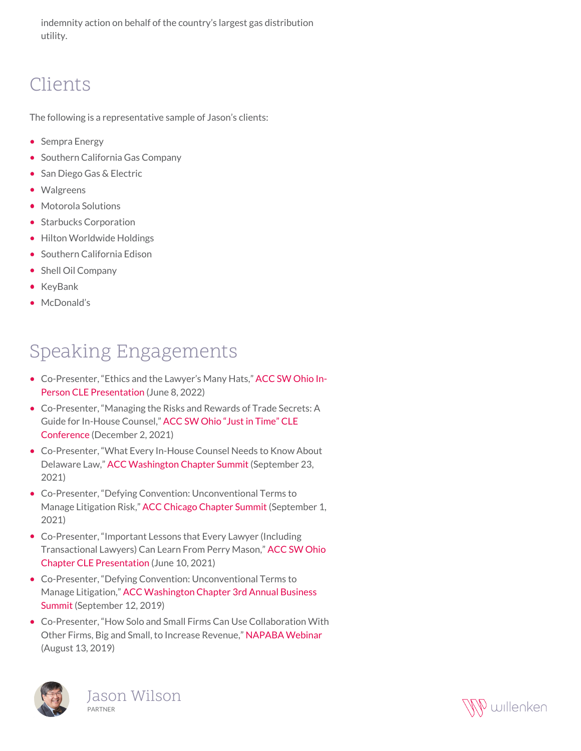indemnity action on behalf of the country's largest gas distribution utility.

### Clients

The following is a representative sample of Jason's clients:

- Sempra Energy
- Southern California Gas Company
- San Diego Gas & Electric
- Walgreens
- Motorola Solutions
- Starbucks Corporation
- Hilton Worldwide Holdings
- Southern California Edison
- Shell Oil Company
- KeyBank
- McDonald's

### Speaking Engagements

- Co-Presenter, "Ethics and the Lawyer's Many Hats," [ACC SW Ohio In-](https://willenken.com/event/acc-southwest-ohio-chapter-ethics-and-the-lawyers-many-hats-cle-presentation/)[Person CLE Presentation](https://willenken.com/event/acc-southwest-ohio-chapter-ethics-and-the-lawyers-many-hats-cle-presentation/) (June 8, 2022)
- Co-Presenter, "Managing the Risks and Rewards of Trade Secrets: A Guide for In-House Counsel," [ACC SW Ohio "Just in Time" CLE](https://willenken.com/event/acc-southwest-ohio-chapter-managing-the-risks-and-rewards-of-trade-secrets-cle-presentation/) [Conference](https://willenken.com/event/acc-southwest-ohio-chapter-managing-the-risks-and-rewards-of-trade-secrets-cle-presentation/) (December 2, 2021)
- Co-Presenter, "What Every In-House Counsel Needs to Know About Delaware Law," [ACC Washington Chapter Summit](https://www.accwsummit.com/) (September 23, 2021)
- Co-Presenter, "Defying Convention: Unconventional Terms to Manage Litigation Risk," [ACC Chicago Chapter Summit](https://accchicagoevents.wixsite.com/summit2021) (September 1, 2021)
- Co-Presenter, "Important Lessons that Every Lawyer (Including Transactional Lawyers) Can Learn From Perry Mason," [ACC SW Ohio](https://www.acc.com/education-events/2021/important-lessons-every-lawyer-including-transactional-lawyers-can-learn) [Chapter CLE Presentation](https://www.acc.com/education-events/2021/important-lessons-every-lawyer-including-transactional-lawyers-can-learn) (June 10, 2021)
- Co-Presenter, "Defying Convention: Unconventional Terms to Manage Litigation," [ACC Washington Chapter 3rd Annual Business](http://willenken.com/event/acc-washington-3rd-annual-business-summit/) [Summit](http://willenken.com/event/acc-washington-3rd-annual-business-summit/) (September 12, 2019)
- Co-Presenter, "How Solo and Small Firms Can Use Collaboration With Other Firms, Big and Small, to Increase Revenue," [NAPABA Webinar](http://willenken.com/alerts/webinar-how-solo-and-small-firms-can-use-collaboration-with-other-firms-big-and-small-to-increase-revenue/) (August 13, 2019)